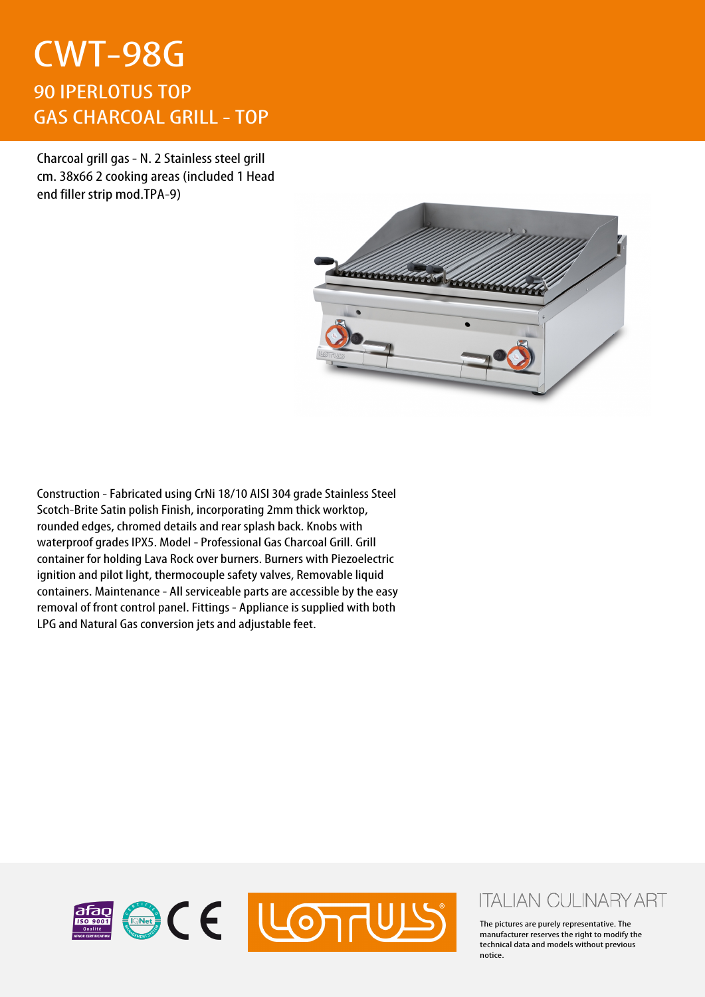## CWT-98G 90 IPERLOTUS TOP GAS CHARCOAL GRILL - TOP

Charcoal grill gas - N. 2 Stainless steel grill cm. 38x66 2 cooking areas (included 1 Head end filler strip mod.TPA-9)



Construction - Fabricated using CrNi 18/10 AISI 304 grade Stainless Steel Scotch-Brite Satin polish Finish, incorporating 2mm thick worktop, rounded edges, chromed details and rear splash back. Knobs with waterproof grades IPX5. Model - Professional Gas Charcoal Grill. Grill container for holding Lava Rock over burners. Burners with Piezoelectric ignition and pilot light, thermocouple safety valves, Removable liquid containers. Maintenance - All serviceable parts are accessible by the easy removal of front control panel. Fittings - Appliance is supplied with both LPG and Natural Gas conversion jets and adjustable feet.



## **ITALIAN CULINARY ART**

The pictures are purely representative. The manufacturer reserves the right to modify the technical data and models without previous notice.